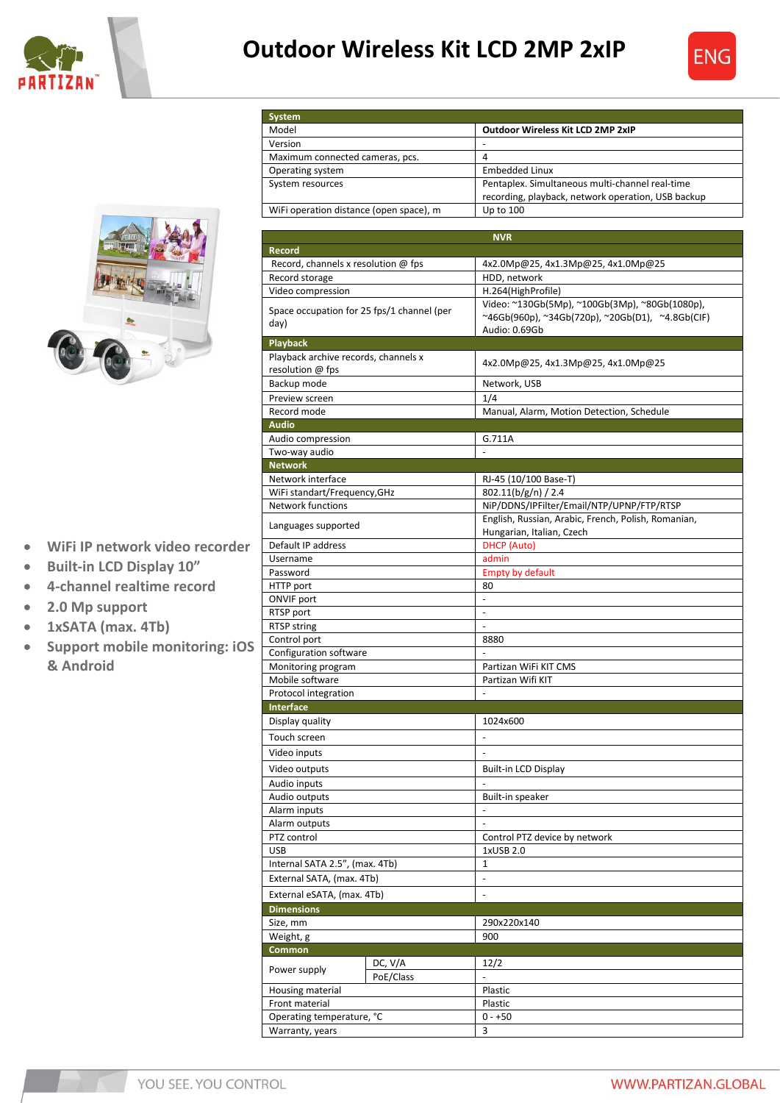

## **Outdoor Wireless Kit LCD 2MP 2xIP**

**System**





- **WiFi IP network video recorder**
- **Built-in LCD Display 10"**
- **4-channel realtime record**
- **2.0 Mp support**
- **1xSATA (max. 4Tb)**
- **Support mobile monitoring: iOS & Android**

| Model                                      | <b>Outdoor Wireless Kit LCD 2MP 2xIP</b>                                 |
|--------------------------------------------|--------------------------------------------------------------------------|
| Version                                    |                                                                          |
| Maximum connected cameras, pcs.            | 4                                                                        |
| Operating system                           | <b>Embedded Linux</b>                                                    |
| System resources                           | Pentaplex. Simultaneous multi-channel real-time                          |
|                                            | recording, playback, network operation, USB backup                       |
| WiFi operation distance (open space), m    | Up to 100                                                                |
|                                            |                                                                          |
| <b>Record</b>                              | <b>NVR</b>                                                               |
| Record, channels x resolution @ fps        | 4x2.0Mp@25, 4x1.3Mp@25, 4x1.0Mp@25                                       |
| Record storage                             | HDD, network                                                             |
| Video compression                          | H.264(HighProfile)                                                       |
|                                            | Video: ~130Gb(5Mp), ~100Gb(3Mp), ~80Gb(1080p),                           |
| Space occupation for 25 fps/1 channel (per | $\sim$ 46Gb(960p), $\sim$ 34Gb(720p), $\sim$ 20Gb(D1), $\sim$ 4.8Gb(CIF) |
| day)                                       | Audio: 0.69Gb                                                            |
| <b>Playback</b>                            |                                                                          |
| Playback archive records, channels x       | 4x2.0Mp@25, 4x1.3Mp@25, 4x1.0Mp@25                                       |
| resolution @ fps                           |                                                                          |
| Backup mode                                | Network, USB                                                             |
| Preview screen                             | 1/4                                                                      |
| Record mode                                | Manual, Alarm, Motion Detection, Schedule                                |
| <b>Audio</b>                               |                                                                          |
| Audio compression<br>Two-way audio         | G.711A<br>$\overline{a}$                                                 |
| <b>Network</b>                             |                                                                          |
| Network interface                          | RJ-45 (10/100 Base-T)                                                    |
| WiFi standart/Frequency, GHz               | 802.11(b/g/n) / 2.4                                                      |
| <b>Network functions</b>                   | NiP/DDNS/IPFilter/Email/NTP/UPNP/FTP/RTSP                                |
|                                            | English, Russian, Arabic, French, Polish, Romanian,                      |
| Languages supported                        | Hungarian, Italian, Czech                                                |
| Default IP address                         | <b>DHCP</b> (Auto)                                                       |
| Username                                   | admin                                                                    |
| Password                                   | <b>Empty by default</b>                                                  |
| HTTP port                                  | 80                                                                       |
| <b>ONVIF port</b>                          |                                                                          |
| RTSP port                                  | $\overline{\phantom{a}}$                                                 |
| <b>RTSP string</b><br>Control port         | $\overline{\phantom{a}}$<br>8880                                         |
| Configuration software                     |                                                                          |
| Monitoring program                         | Partizan WiFi KIT CMS                                                    |
| Mobile software                            | Partizan Wifi KIT                                                        |
| Protocol integration                       |                                                                          |
| <b>Interface</b>                           |                                                                          |
| Display quality                            | 1024x600                                                                 |
| Touch screen                               |                                                                          |
| Video inputs                               | $\qquad \qquad \blacksquare$                                             |
| Video outputs                              | <b>Built-in LCD Display</b>                                              |
| Audio inputs                               |                                                                          |
| Audio outputs                              | Built-in speaker                                                         |
| Alarm inputs                               |                                                                          |
| Alarm outputs                              | $\overline{\phantom{m}}$                                                 |
| PTZ control                                | Control PTZ device by network                                            |
| USB                                        | 1xUSB 2.0                                                                |
| Internal SATA 2.5", (max. 4Tb)             | $\mathbf{1}$                                                             |
| External SATA, (max. 4Tb)                  | $\overline{\phantom{m}}$                                                 |
| External eSATA, (max. 4Tb)                 | $\blacksquare$                                                           |
| <b>Dimensions</b>                          |                                                                          |
| Size, mm                                   | 290x220x140                                                              |
| Weight, g                                  | 900                                                                      |
| Common                                     |                                                                          |
| DC, V/A<br>Power supply                    | 12/2                                                                     |
| PoE/Class                                  |                                                                          |
| Housing material                           | Plastic                                                                  |
| Front material                             | Plastic<br>$0 - +50$                                                     |
| Operating temperature, °C                  | 3                                                                        |
| Warranty, years                            |                                                                          |